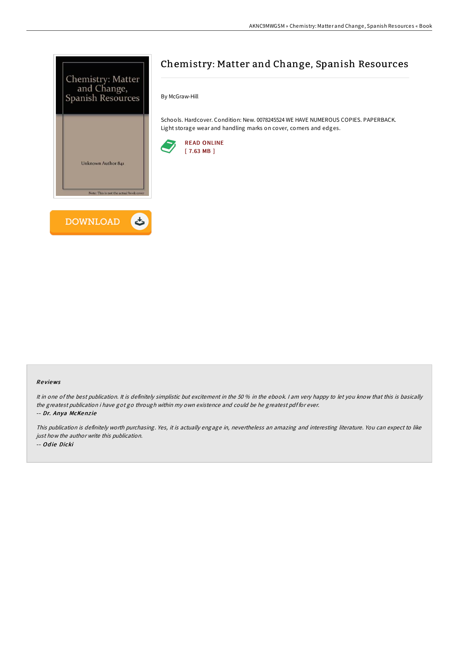

# Chemistry: Matter and Change, Spanish Resources

By McGraw-Hill

Schools. Hardcover. Condition: New. 0078245524 WE HAVE NUMEROUS COPIES. PAPERBACK. Light storage wear and handling marks on cover, corners and edges.



#### Re views

It in one of the best publication. It is definitely simplistic but excitement in the 50 % in the ebook. I am very happy to let you know that this is basically the greatest publication i have got go through within my own existence and could be he greatest pdf for ever.

-- Dr. Anya McKenzie

This publication is definitely worth purchasing. Yes, it is actually engage in, nevertheless an amazing and interesting literature. You can expect to like just how the author write this publication. -- Odie Dicki